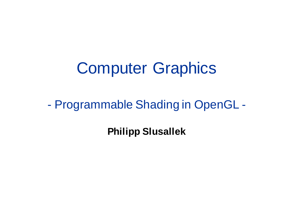### Computer Graphics

### - Programmable Shading in OpenGL -

**Philipp Slusallek**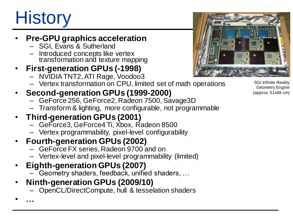# **History**

• **…**

### • **Pre-GPU graphics acceleration**

- SGI, Evans & Sutherland
- Introduced concepts like vertex transformation and texture mapping
- **First-generation GPUs (-1998)**
	- NVIDIATNT2, ATI Rage, Voodoo3
	- Vertex transformation on CPU, limited set of math operations

### • **Second-generation GPUs (1999-2000)**

- GeForce 256, GeForce2, Radeon 7500, Savage3D
- Transform & lighting, more configurable, not programmable

#### • **Third-generation GPUs (2001)**

- GeForce3, GeForce4 Ti, Xbox, Radeon 8500
- Vertex programmability, pixel-level configurability

#### • **Fourth-generation GPUs (2002)**

- GeForce FX series, Radeon 9700 and on
- Vertex-level and pixel-level programmability (limited)

#### • **Eighth-generation GPUs (2007)**

- Geometry shaders, feedback, unified shaders, …
- **Ninth-generation GPUs (2009/10)**
	- OpenCL/DirectCompute, hull & tesselation shaders

SGI Infinite Reality Geometry Engine (approx. 51x48 cm)

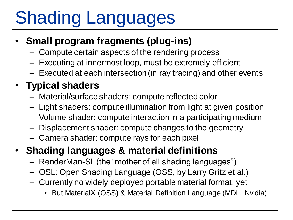# Shading Languages

### • **Small program fragments (plug-ins)**

- Compute certain aspects of the rendering process
- Executing at innermost loop, must be extremely efficient
- Executed at each intersection (in ray tracing) and other events

### • **Typical shaders**

- Material/surface shaders: compute reflected color
- Light shaders: compute illumination from light at given position
- Volume shader: compute interaction in a participating medium
- Displacement shader: compute changes to the geometry
- Camera shader: compute rays for each pixel

### • **Shading languages & material definitions**

- RenderMan-SL (the "mother of all shading languages")
- OSL: Open Shading Language (OSS, by Larry Gritz et al.)
- Currently no widely deployed portable material format, yet
	- But MaterialX (OSS) & Material Definition Language (MDL, Nvidia)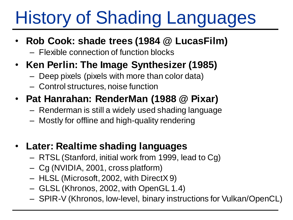# History of Shading Languages

- **Rob Cook: shade trees (1984 @ LucasFilm)**
	- Flexible connection of function blocks
- **Ken Perlin: The Image Synthesizer (1985)**
	- Deep pixels (pixels with more than color data)
	- Control structures, noise function
- **Pat Hanrahan: RenderMan (1988 @ Pixar)**
	- Renderman is still a widely used shading language
	- Mostly for offline and high-quality rendering
- **Later: Realtime shading languages**
	- RTSL (Stanford, initial work from 1999, lead to Cg)
	- Cg (NVIDIA, 2001, cross platform)
	- HLSL (Microsoft, 2002, with DirectX 9)
	- GLSL (Khronos, 2002, with OpenGL 1.4)
	- SPIR-V (Khronos, low-level, binary instructions for Vulkan/OpenCL)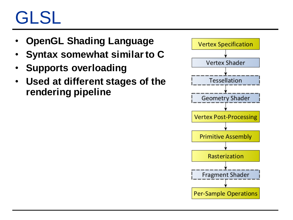## GLSL

- **OpenGL Shading Language**
- **Syntax somewhat similar to C**
- **Supports overloading**
- **Used at different stages of the rendering pipeline**

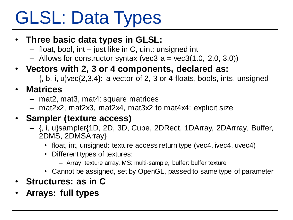# GLSL: Data Types

- **Three basic data types in GLSL:**
	- float, bool, int just like in C, uint: unsigned int
	- $-$  Allows for constructor syntax (vec3 a = vec3(1.0, 2.0, 3.0))
- **Vectors with 2, 3 or 4 components, declared as:**
	- $-$  {, b, i, u} vec $\{2,3,4\}$ : a vector of 2, 3 or 4 floats, bools, ints, unsigned
- **Matrices**
	- mat2, mat3, mat4: square matrices
	- mat2x2, mat2x3, mat2x4, mat3x2 to mat4x4: explicit size
- **Sampler (texture access)**
	- {, i, u}sampler{1D, 2D, 3D, Cube, 2DRect, 1DArray, 2DArrray, Buffer, 2DMS, 2DMSArray}
		- float, int, unsigned: texture access return type (vec4, ivec4, uvec4)
		- Different types of textures:
			- Array: texture array, MS: multi-sample, buffer: buffer texture
		- Cannot be assigned, set by OpenGL, passed to same type of parameter
- **Structures: as in C**
- **Arrays: full types**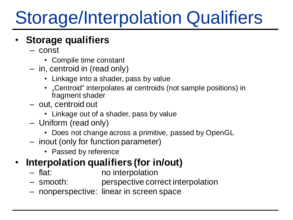# Storage/Interpolation Qualifiers

### • **Storage qualifiers**

- const
	- Compile time constant
- in, centroid in (read only)
	- Linkage into a shader, pass by value
	- "Centroid" interpolates at centroids (not sample positions) in fragment shader
- out, centroid out
	- Linkage out of a shader, pass by value
- Uniform (read only)
	- Does not change across a primitive, passed by OpenGL
- inout (only for function parameter)
	- Passed by reference

### • **Interpolation qualifiers (for in/out)**

- flat: no interpolation
- smooth: perspective correct interpolation
- nonperspective: linear in screen space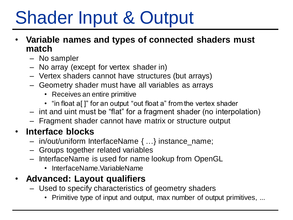# Shader Input & Output

- **Variable names and types of connected shaders must match**
	- No sampler
	- No array (except for vertex shader in)
	- Vertex shaders cannot have structures (but arrays)
	- Geometry shader must have all variables as arrays
		- Receives an entire primitive
		- "in float a[]" for an output "out float a" from the vertex shader
	- int and uint must be "flat" for a fragment shader (no interpolation)
	- Fragment shader cannot have matrix or structure output

### • **Interface blocks**

- in/out/uniform InterfaceName { …} instance\_name;
- Groups together related variables
- InterfaceName is used for name lookup from OpenGL
	- InterfaceName.VariableName

### • **Advanced: Layout qualifiers**

- Used to specify characteristics of geometry shaders
	- Primitive type of input and output, max number of output primitives, ...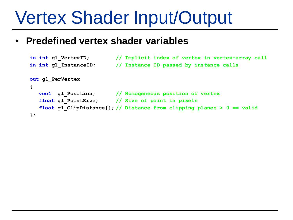## Vertex Shader Input/Output

#### • **Predefined vertex shader variables**

```
in int gl_VertexID; // Implicit index of vertex in vertex-array call
in int gl_InstanceID; // Instance ID passed by instance calls
out gl_PerVertex
{
  vec4 gl_Position; // Homogeneous position of vertex
  float gl_PointSize; // Size of point in pixels
  float gl_ClipDistance[]; // Distance from clipping planes > 0 == valid
};
```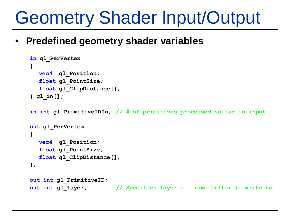## Geometry Shader Input/Output

### • **Predefined geometry shader variables**

```
in gl_PerVertex
{
  vec4 gl_Position;
  float gl_PointSize;
  float gl_ClipDistance[];
} gl_in[];
```
**in int gl\_PrimitiveIDIn; // # of primitives processed so far in input**

```
out gl_PerVertex
{
  vec4 gl_Position;
  float gl_PointSize;
  float gl_ClipDistance[];
};
```

```
out int gl_PrimitiveID;
out int gl_Layer; // Specifies layer of frame buffer to write to
```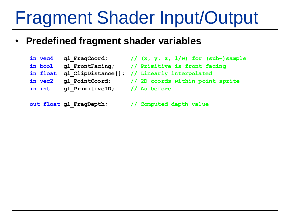# Fragment Shader Input/Output

### • **Predefined fragment shader variables**

- **in float gl\_ClipDistance[]; // Linearly interpolated**
- 
- **in int gl\_PrimitiveID; // As before**

- **in vec4 gl\_FragCoord; // (x, y, z, 1/w) for (sub-)sample**
- **in bool gl\_FrontFacing; // Primitive is front facing**
	-
- **in vec2 gl\_PointCoord; // 2D coords within point sprite**
	-

**out float gl\_FragDepth; // Computed depth value**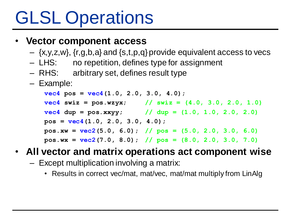# GLSL Operations

### • **Vector component access**

- $-$  {x,y,z,w}, {r,g,b,a} and {s,t,p,q} provide equivalent access to vecs
- LHS: no repetition, defines type for assignment
- RHS: arbitrary set, defines result type
- Example:

**vec4 pos = vec4(1.0, 2.0, 3.0, 4.0);**  $vec4$  **swiz** = pos.wzyx; // swiz =  $(4.0, 3.0, 2.0, 1.0)$ **vec4 dup = pos.xxyy; // dup = (1.0, 1.0, 2.0, 2.0) pos = vec4(1.0, 2.0, 3.0, 4.0); pos.xw = vec2(5.0, 6.0); // pos = (5.0, 2.0, 3.0, 6.0) pos.wx = vec2(7.0, 8.0); // pos = (8.0, 2.0, 3.0, 7.0)**

### • **All vector and matrix operations act component wise**

- Except multiplication involving a matrix:
	- Results in correct vec/mat, mat/vec, mat/mat multiply from LinAlg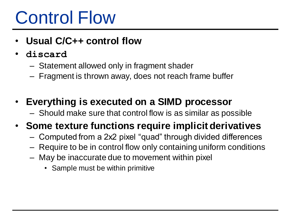## Control Flow

- **Usual C/C++ control flow**
- **discard**
	- Statement allowed only in fragment shader
	- Fragment is thrown away, does not reach frame buffer
- **Everything is executed on a SIMD processor**
	- Should make sure that control flow is as similar as possible

### • **Some texture functions require implicit derivatives**

- Computed from a 2x2 pixel "quad" through divided differences
- Require to be in control flow only containing uniform conditions
- May be inaccurate due to movement within pixel
	- Sample must be within primitive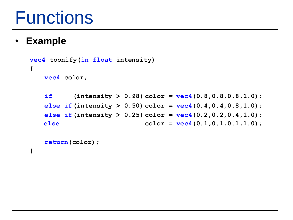### **Functions**

### • **Example**

**{**

```
vec4 toonify(in float intensity)
   vec4 color;
   if (intensity > 0.98) color = vec4(0.8,0.8,0.8,1.0);
   else if(intensity > 0.50) color = vec4(0.4,0.4,0.8,1.0);
   else if(intensity > 0.25) color = vec4(0.2,0.2,0.4,1.0);
   else color = vec4(0.1,0.1,0.1,1.0);
```

```
return(color);
}
```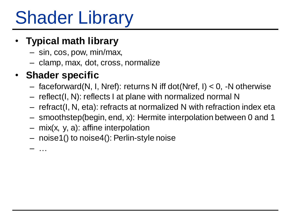# Shader Library

### • **Typical math library**

- sin, cos, pow, min/max,
- clamp, max, dot, cross, normalize

### • **Shader specific**

- $-$  faceforward(N, I, Nref): returns N iff dot(Nref, I)  $<$  0, -N otherwise
- reflect(I, N): reflects I at plane with normalized normal N
- refract(I, N, eta): refracts at normalized N with refraction index eta
- smoothstep(begin, end, x): Hermite interpolation between 0 and 1
- mix(x, y, a): affine interpolation
- noise1() to noise4(): Perlin-style noise

– …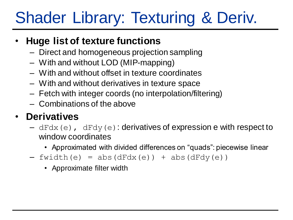### Shader Library: Texturing & Deriv.

### • **Huge list of texture functions**

- Direct and homogeneous projection sampling
- With and without LOD (MIP-mapping)
- With and without offset in texture coordinates
- With and without derivatives in texture space
- Fetch with integer coords (no interpolation/filtering)
- Combinations of the above

### • **Derivatives**

- $-\text{dFdx}(e)$ ,  $\text{dFdy}(e)$ : derivatives of expression e with respect to window coordinates
	- Approximated with divided differences on "quads": piecewise linear
- $-$  fwidth(e) = abs(dFdx(e)) + abs(dFdy(e))
	- Approximate filter width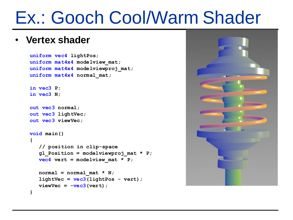### Ex.: Gooch Cool/Warm Shader

#### • **Vertex shader**

```
uniform vec4 lightPos;
uniform mat4x4 modelview_mat;
uniform mat4x4 modelviewproj_mat;
uniform mat4x4 normal_mat;
```

```
in vec3 P;
in vec3 N;
```

```
out vec3 normal;
out vec3 lightVec;
out vec3 viewVec;
```

```
void main()
{
   // position in clip-space
   gl_Position = modelviewproj_mat * P;
   vec4 \text{vert} = \text{modelview} \text{ mat} \cdot \text{ p};normal = normal mat * N;lightVec = vec3(lightPos - vert);
   viewVec = -vec3(vert);
}
```
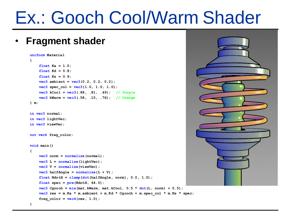### Ex.: Gooch Cool/Warm Shader

#### • **Fragment shader**

```
uniform Material
{
    float Ka = 1.0;
    float Kd = 0.8;
    float Ks = 0.9;
    vec3 ambient = vec3(0.2, 0.2, 0.2);
    \text{vec3} spec \text{col} = \text{vec3}(1.0, 1.0, 1.0);
    vec3 kCool = vec3(.88, .81, .49); // Purple
    vec3 kWarm = vec3(.58, .10, .76); // Orange
} m;
in vec3 normal;
in vec3 lightVec;
in vec3 viewVec;
out vec4 frag_color;
void main()
{
    vec3 norm = normalize(normal);
    vec3 L = normalize(lightVec);
    vec3 V = normalize(viewVec);
    vec3 halfAngle = normalize(L + V);
    float NdotH = clamp(dot(halfAngle, norm), 0.0, 1.0);
    float\space spec = pow(NdotH, 64.0);vec3 Cgooch = \min (\max, \text{KWarm}, \text{mat.kCool}, 0.5 * \text{dot} (\text{L}, \text{norm}) + 0.5);
    vec3 res = m.Ka * m.ambient + m.Kd * Cqooch + m.spec col * m.Ks * spec;frag\ color = \text{vec4}(\text{res}, 1.0);}
```
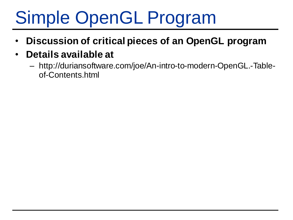- **Discussion of critical pieces of an OpenGL program**
- **Details available at**
	- http://duriansoftware.com/joe/An-intro-to-modern-OpenGL.-Tableof-Contents.html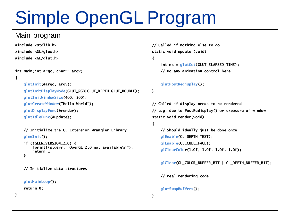#### Main program

```
#include <stdlib.h>
#include <GL/glew.h>
#include <GL/glut.h>
```

```
// Called if nothing else to do
static void update (void)
```
#### **{**

```
int ms = glutGet(GLUT_ELAPSED_TIME);
// Do any animation control here
```
#### **int main(int argc, char\*\* argv) {**

```
glutInit(&argc, argv);
```
**glutInitDisplayMode(GLUT\_RGB|GLUT\_DEPTH|GLUT\_DOUBLE);**

**glutInitWindowSize(400, 300);**

**glutCreateWindow("Hello World");**

**glutDisplayFunc(&render);**

**glutIdleFunc(&update);**

**// Initialize the GL Extension Wrangler Library glewInit();**

```
if (!GLEW_VERSION_2_0) {
    fprintf(stderr, "OpenGL 2.0 not available\n");
    return 1;
}
```

```
// Initialize data structures
```

```
glutMainLoop();
```
**return 0;**

**}**

```
glutPostRedisplay();
```
#### **}**

**// Called if display needs to be rendered // e.g. due to PostRedisplay() or exposure of window static void render(void)**

#### **{**

**// Should ideally just be done once glEnable(GL\_DEPTH\_TEST); glEnable(GL\_CULL\_FACE); glClearColor(1.0f, 1.0f, 1.0f, 1.0f);**

**glClear(GL\_COLOR\_BUFFER\_BIT | GL\_DEPTH\_BUFFER\_BIT);**

**// real rendering code**

**glutSwapBuffers();**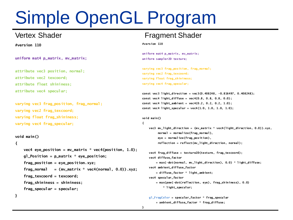**#version 110**

**uniform mat4 p\_matrix, mv\_matrix;**

**attribute vec3 position, normal; attribute vec2 texcoord; attribute float shininess; attribute vec4 specular;**

**varying vec3 frag\_position, frag\_normal; varying vec2 frag\_texcoord; varying float frag\_shininess; varying vec4 frag\_specular;**

**void main()**

#### **{**

**}** 

```
vec4 eye_position = mv_matrix * vec4(position, 1.0);
gl_Position = p_matrix * eye_position;
frag_position = eye_position.xyz;
frag_normal = (mv_matrix * vec4(normal, 0.0)).xyz;
frag_texcoord = texcoord;
frag_shininess = shininess;
frag_specular = specular;
```
#### Vertex Shader **Fragment Shader**

**#version 110**

**uniform mat4 p\_matrix, mv\_matrix; uniform sampler2D texture;**

**varying vec3 frag\_position, frag\_normal; varying vec2 frag\_texcoord; varying float frag\_shininess; varying vec4 frag\_specular;**

```
const vec3 light_direction = vec3(0.408248, -0.816497, 0.408248);
const vec4 light_diffuse = vec4(0.8, 0.8, 0.8, 0.0);
const vec4 light_ambient = vec4(0.2, 0.2, 0.2, 1.0);
const vec4 light_specular = vec4(1.0, 1.0, 1.0, 1.0);
```

```
void main()
```
**{**

**vec3 mv\_light\_direction = (mv\_matrix \* vec4(light\_direction, 0.0)).xyz, normal = normalize(frag\_normal), eye = normalize(frag\_position), reflection = reflect(mv\_light\_direction, normal);**

```
vec4 frag_diffuse = texture2D(texture, frag_texcoord);
vec4 diffuse_factor
    = max(-dot(normal, mv_light_direction), 0.0) * light_diffuse;
vec4 ambient_diffuse_factor
    = diffuse_factor * light_ambient;
vec4 specular_factor
```
**= max(pow(-dot(reflection, eye), frag\_shininess), 0.0) \* light\_specular;**

```
gl_FragColor = specular_factor * frag_specular
   + ambient_diffuse_factor * frag_diffuse;
```
**}**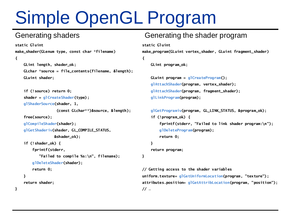**}**

```
static Gluint
make_shader(GLenum type, const char *filename)
{
    GLint length, shader_ok;
    GLchar *source = file_contents(filename, &length);
    GLuint shader;
    if (!source) return 0;
    shader = glCreateShader(type);
    glShaderSource(shader, 1, 
                   (const GLchar**)&source, &length);
    free(source);
    glCompileShader(shader);
    glGetShaderiv(shader, GL_COMPILE_STATUS,
                  &shader_ok);
    if (!shader_ok) {
        fprintf(stderr,
           "Failed to compile %s:\n", filename);
        glDeleteShader(shader);
        return 0;
    }
    return shader;
```
#### Generating shaders Generating the shader program

```
static Gluint
```
**{**

**make\_program(GLuint vertex\_shader, GLuint fragment\_shader)**

```
GLint program_ok;
```

```
GLuint program = glCreateProgram();
glAttachShader(program, vertex_shader);
glAttachShader(program, fragment_shader);
glLinkProgram(program);
```

```
glGetProgramiv(program, GL_LINK_STATUS, &program_ok);
if (!program_ok) {
   fprintf(stderr, "Failed to link shader program:\n");
   glDeleteProgram(program);
   return 0;
```

```
}
```
**return program;**

```
}
```
**// Getting access to the shader variables uniform.texture= glGetUniformLocation(program, "texture"); attributes.position= glGetAttribLocation(program, "position"); // …**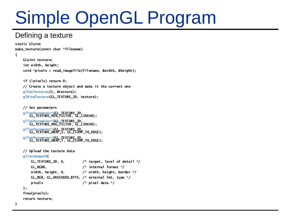#### Defining a texture

**static Gluint make\_texture(const char \*filename)**

```
{
```
**}**

**GLuint texture; int width, height; void \*pixels = read\_imagefile(filename, &width, &height);**

**if (!pixels) return 0; // Create a texture object and make it the current one glGenTextures(1, &texture); glBindTexture(GL\_TEXTURE\_2D, texture);**

**// Set parameters glTexParameteri(GL\_TEXTURE\_2D, GL\_TEXTURE\_MIN\_FILTER, GL\_LINEAR); glTexParameteri(GL\_TEXTURE\_2D, GL\_TEXTURE\_MAG\_FILTER, GL\_LINEAR); glTexParameteri(GL\_TEXTURE\_2D, GL\_TEXTURE\_WRAP\_S, GL\_CLAMP\_TO\_EDGE); glTexParameteri(GL\_TEXTURE\_2D, GL\_TEXTURE\_WRAP\_T, GL\_CLAMP\_TO\_EDGE);**

```
// Upload the texture data
glTexImage2D(
   GL_TEXTURE_2D, 0, /* target, level of detail */
   GL_RGB8, /* internal format */
   width, height, 0, /* width, height, border */
   GL_BGR, GL_UNSIGNED_BYTE, /* external fmt, type */
   pixels /* pixel data */
);
free(pixels);
return texture;
```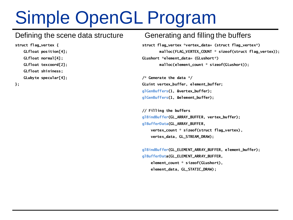#### Defining the scene data structure

**struct flag\_vertex { GLfloat position[4]; GLfloat normal[4]; GLfloat texcoord[2]; GLfloat shininess; GLubyte specular[4];**

#### **};**

#### Generating and filling the buffers

**struct flag\_vertex \*vertex\_data= (struct flag\_vertex\*) malloc(FLAG\_VERTEX\_COUNT \* sizeof(struct flag\_vertex)); GLushort \*element\_data= (GLushort\*) malloc(element\_count \* sizeof(GLushort));**

**/\* Generate the data \*/ GLuint vertex\_buffer, element\_buffer; glGenBuffers(1, &vertex\_buffer); glGenBuffers(1, &element\_buffer);**

**// Filling the buffers glBindBuffer(GL\_ARRAY\_BUFFER, vertex\_buffer); glBufferData(GL\_ARRAY\_BUFFER, vertex\_count \* sizeof(struct flag\_vertex), vertex\_data, GL\_STREAM\_DRAW);**

```
glBindBuffer(GL_ELEMENT_ARRAY_BUFFER, element_buffer);
glBufferData(GL_ELEMENT_ARRAY_BUFFER,
   element_count * sizeof(GLushort),
   element_data, GL_STATIC_DRAW);
```